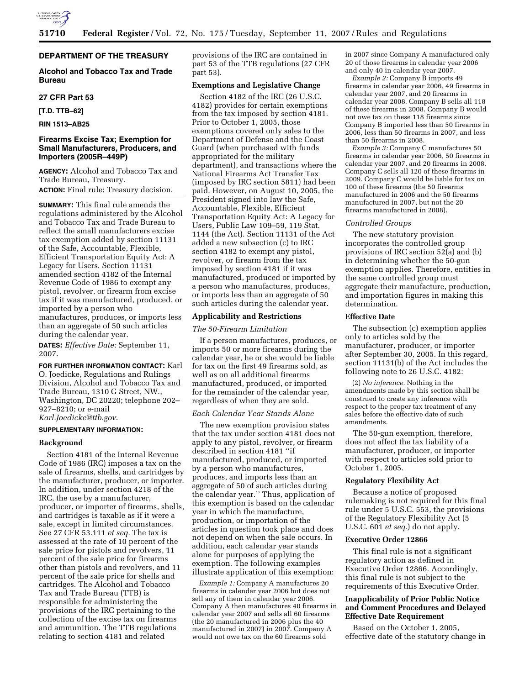

# **DEPARTMENT OF THE TREASURY**

# **Alcohol and Tobacco Tax and Trade Bureau**

### **27 CFR Part 53**

**[T.D. TTB–62]** 

**RIN 1513–AB25** 

# **Firearms Excise Tax; Exemption for Small Manufacturers, Producers, and Importers (2005R–449P)**

**AGENCY:** Alcohol and Tobacco Tax and Trade Bureau, Treasury.

**ACTION:** Final rule; Treasury decision.

**SUMMARY:** This final rule amends the regulations administered by the Alcohol and Tobacco Tax and Trade Bureau to reflect the small manufacturers excise tax exemption added by section 11131 of the Safe, Accountable, Flexible, Efficient Transportation Equity Act: A Legacy for Users. Section 11131 amended section 4182 of the Internal Revenue Code of 1986 to exempt any pistol, revolver, or firearm from excise tax if it was manufactured, produced, or imported by a person who manufactures, produces, or imports less than an aggregate of 50 such articles during the calendar year.

**DATES:** *Effective Date:* September 11, 2007.

# **FOR FURTHER INFORMATION CONTACT:** Karl

O. Joedicke, Regulations and Rulings Division, Alcohol and Tobacco Tax and Trade Bureau, 1310 G Street, NW., Washington, DC 20220; telephone 202– 927–8210; or e-mail *Karl.Joedicke@ttb.gov*.

### **SUPPLEMENTARY INFORMATION:**

## **Background**

Section 4181 of the Internal Revenue Code of 1986 (IRC) imposes a tax on the sale of firearms, shells, and cartridges by the manufacturer, producer, or importer. In addition, under section 4218 of the IRC, the use by a manufacturer, producer, or importer of firearms, shells, and cartridges is taxable as if it were a sale, except in limited circumstances. See 27 CFR 53.111 *et seq.* The tax is assessed at the rate of 10 percent of the sale price for pistols and revolvers, 11 percent of the sale price for firearms other than pistols and revolvers, and 11 percent of the sale price for shells and cartridges. The Alcohol and Tobacco Tax and Trade Bureau (TTB) is responsible for administering the provisions of the IRC pertaining to the collection of the excise tax on firearms and ammunition. The TTB regulations relating to section 4181 and related

provisions of the IRC are contained in part 53 of the TTB regulations (27 CFR part 53).

## **Exemptions and Legislative Change**

Section 4182 of the IRC (26 U.S.C. 4182) provides for certain exemptions from the tax imposed by section 4181. Prior to October 1, 2005, those exemptions covered only sales to the Department of Defense and the Coast Guard (when purchased with funds appropriated for the military department), and transactions where the National Firearms Act Transfer Tax (imposed by IRC section 5811) had been paid. However, on August 10, 2005, the President signed into law the Safe, Accountable, Flexible, Efficient Transportation Equity Act: A Legacy for Users, Public Law 109–59, 119 Stat. 1144 (the Act). Section 11131 of the Act added a new subsection (c) to IRC section 4182 to exempt any pistol, revolver, or firearm from the tax imposed by section 4181 if it was manufactured, produced or imported by a person who manufactures, produces, or imports less than an aggregate of 50 such articles during the calendar year.

### **Applicability and Restrictions**

## *The 50-Firearm Limitation*

If a person manufactures, produces, or imports 50 or more firearms during the calendar year, he or she would be liable for tax on the first 49 firearms sold, as well as on all additional firearms manufactured, produced, or imported for the remainder of the calendar year, regardless of when they are sold.

### *Each Calendar Year Stands Alone*

The new exemption provision states that the tax under section 4181 does not apply to any pistol, revolver, or firearm described in section 4181 ''if manufactured, produced, or imported by a person who manufactures, produces, and imports less than an aggregate of 50 of such articles during the calendar year.'' Thus, application of this exemption is based on the calendar year in which the manufacture, production, or importation of the articles in question took place and does not depend on when the sale occurs. In addition, each calendar year stands alone for purposes of applying the exemption. The following examples illustrate application of this exemption:

*Example 1:* Company A manufactures 20 firearms in calendar year 2006 but does not sell any of them in calendar year 2006. Company A then manufactures 40 firearms in calendar year 2007 and sells all 60 firearms (the 20 manufactured in 2006 plus the 40 manufactured in 2007) in 2007. Company A would not owe tax on the 60 firearms sold

in 2007 since Company A manufactured only 20 of those firearms in calendar year 2006 and only 40 in calendar year 2007.

*Example 2:* Company B imports 49 firearms in calendar year 2006, 49 firearms in calendar year 2007, and 20 firearms in calendar year 2008. Company B sells all 118 of these firearms in 2008. Company B would not owe tax on these 118 firearms since Company B imported less than 50 firearms in 2006, less than 50 firearms in 2007, and less than 50 firearms in 2008.

*Example 3:* Company C manufactures 50 firearms in calendar year 2006, 50 firearms in calendar year 2007, and 20 firearms in 2008. Company C sells all 120 of these firearms in 2009. Company C would be liable for tax on 100 of these firearms (the 50 firearms manufactured in 2006 and the 50 firearms manufactured in 2007, but not the 20 firearms manufactured in 2008).

### *Controlled Groups*

The new statutory provision incorporates the controlled group provisions of IRC section 52(a) and (b) in determining whether the 50-gun exemption applies. Therefore, entities in the same controlled group must aggregate their manufacture, production, and importation figures in making this determination.

### **Effective Date**

The subsection (c) exemption applies only to articles sold by the manufacturer, producer, or importer after September 30, 2005. In this regard, section 11131(b) of the Act includes the following note to 26 U.S.C. 4182:

(2) *No inference.* Nothing in the amendments made by this section shall be construed to create any inference with respect to the proper tax treatment of any sales before the effective date of such amendments.

The 50-gun exemption, therefore, does not affect the tax liability of a manufacturer, producer, or importer with respect to articles sold prior to October 1, 2005.

### **Regulatory Flexibility Act**

Because a notice of proposed rulemaking is not required for this final rule under 5 U.S.C. 553, the provisions of the Regulatory Flexibility Act (5 U.S.C. 601 *et seq.*) do not apply.

### **Executive Order 12866**

This final rule is not a significant regulatory action as defined in Executive Order 12866. Accordingly, this final rule is not subject to the requirements of this Executive Order.

# **Inapplicability of Prior Public Notice and Comment Procedures and Delayed Effective Date Requirement**

Based on the October 1, 2005, effective date of the statutory change in